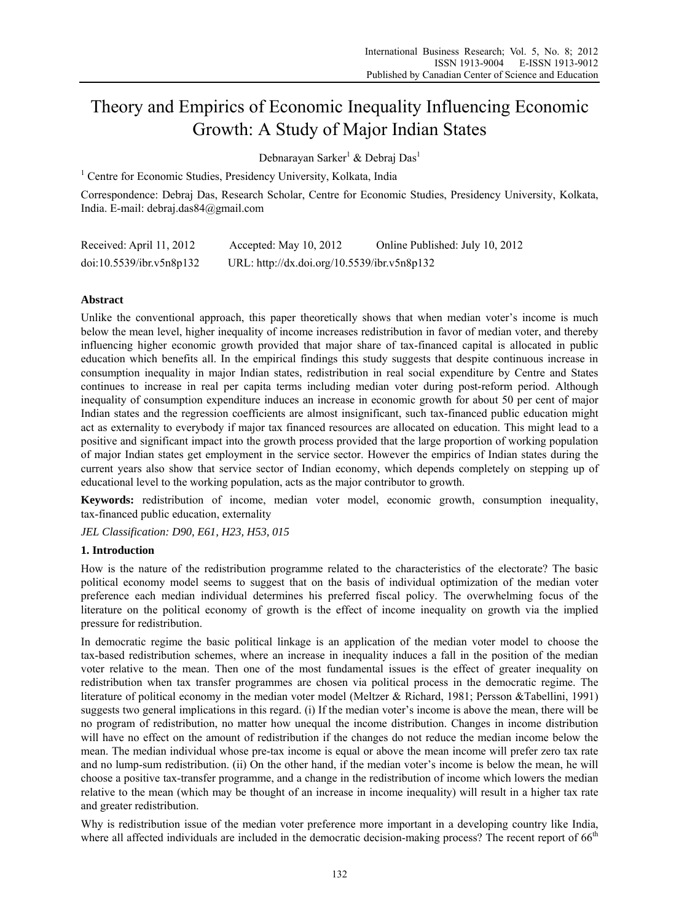# Theory and Empirics of Economic Inequality Influencing Economic Growth: A Study of Major Indian States

Debnarayan Sarker<sup>1</sup> & Debraj Das<sup>1</sup>

<sup>1</sup> Centre for Economic Studies, Presidency University, Kolkata, India

Correspondence: Debraj Das, Research Scholar, Centre for Economic Studies, Presidency University, Kolkata, India. E-mail: debraj.das84@gmail.com

| Received: April 11, 2012 | Accepted: May $10, 2012$                    | Online Published: July 10, 2012 |
|--------------------------|---------------------------------------------|---------------------------------|
| doi:10.5539/ibr.v5n8p132 | URL: http://dx.doi.org/10.5539/ibr.v5n8p132 |                                 |

# **Abstract**

Unlike the conventional approach, this paper theoretically shows that when median voter's income is much below the mean level, higher inequality of income increases redistribution in favor of median voter, and thereby influencing higher economic growth provided that major share of tax-financed capital is allocated in public education which benefits all. In the empirical findings this study suggests that despite continuous increase in consumption inequality in major Indian states, redistribution in real social expenditure by Centre and States continues to increase in real per capita terms including median voter during post-reform period. Although inequality of consumption expenditure induces an increase in economic growth for about 50 per cent of major Indian states and the regression coefficients are almost insignificant, such tax-financed public education might act as externality to everybody if major tax financed resources are allocated on education. This might lead to a positive and significant impact into the growth process provided that the large proportion of working population of major Indian states get employment in the service sector. However the empirics of Indian states during the current years also show that service sector of Indian economy, which depends completely on stepping up of educational level to the working population, acts as the major contributor to growth.

**Keywords:** redistribution of income, median voter model, economic growth, consumption inequality, tax-financed public education, externality

*JEL Classification: D90, E61, H23, H53, 015* 

# **1. Introduction**

How is the nature of the redistribution programme related to the characteristics of the electorate? The basic political economy model seems to suggest that on the basis of individual optimization of the median voter preference each median individual determines his preferred fiscal policy. The overwhelming focus of the literature on the political economy of growth is the effect of income inequality on growth via the implied pressure for redistribution.

In democratic regime the basic political linkage is an application of the median voter model to choose the tax-based redistribution schemes, where an increase in inequality induces a fall in the position of the median voter relative to the mean. Then one of the most fundamental issues is the effect of greater inequality on redistribution when tax transfer programmes are chosen via political process in the democratic regime. The literature of political economy in the median voter model (Meltzer & Richard, 1981; Persson &Tabellini, 1991) suggests two general implications in this regard. (i) If the median voter's income is above the mean, there will be no program of redistribution, no matter how unequal the income distribution. Changes in income distribution will have no effect on the amount of redistribution if the changes do not reduce the median income below the mean. The median individual whose pre-tax income is equal or above the mean income will prefer zero tax rate and no lump-sum redistribution. (ii) On the other hand, if the median voter's income is below the mean, he will choose a positive tax-transfer programme, and a change in the redistribution of income which lowers the median relative to the mean (which may be thought of an increase in income inequality) will result in a higher tax rate and greater redistribution.

Why is redistribution issue of the median voter preference more important in a developing country like India, where all affected individuals are included in the democratic decision-making process? The recent report of  $66<sup>th</sup>$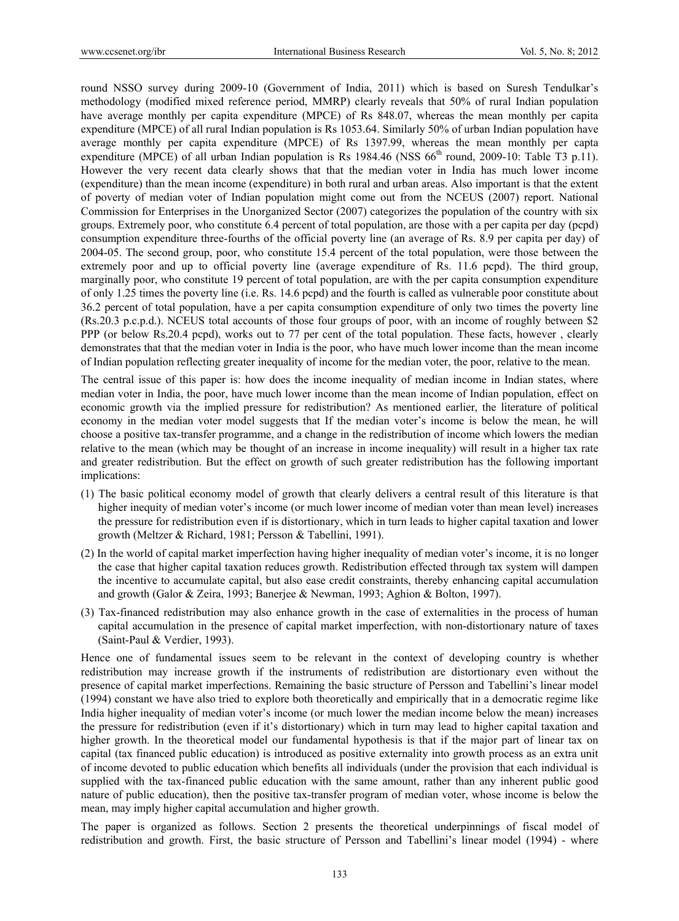round NSSO survey during 2009-10 (Government of India, 2011) which is based on Suresh Tendulkar's methodology (modified mixed reference period, MMRP) clearly reveals that 50% of rural Indian population have average monthly per capita expenditure (MPCE) of Rs 848.07, whereas the mean monthly per capita expenditure (MPCE) of all rural Indian population is Rs 1053.64. Similarly 50% of urban Indian population have average monthly per capita expenditure (MPCE) of Rs 1397.99, whereas the mean monthly per capta expenditure (MPCE) of all urban Indian population is Rs 1984.46 (NSS  $66<sup>th</sup>$  round, 2009-10: Table T3 p.11). However the very recent data clearly shows that that the median voter in India has much lower income (expenditure) than the mean income (expenditure) in both rural and urban areas. Also important is that the extent of poverty of median voter of Indian population might come out from the NCEUS (2007) report. National Commission for Enterprises in the Unorganized Sector (2007) categorizes the population of the country with six groups. Extremely poor, who constitute 6.4 percent of total population, are those with a per capita per day (pcpd) consumption expenditure three-fourths of the official poverty line (an average of Rs. 8.9 per capita per day) of 2004-05. The second group, poor, who constitute 15.4 percent of the total population, were those between the extremely poor and up to official poverty line (average expenditure of Rs. 11.6 pcpd). The third group, marginally poor, who constitute 19 percent of total population, are with the per capita consumption expenditure of only 1.25 times the poverty line (i.e. Rs. 14.6 pcpd) and the fourth is called as vulnerable poor constitute about 36.2 percent of total population, have a per capita consumption expenditure of only two times the poverty line (Rs.20.3 p.c.p.d.). NCEUS total accounts of those four groups of poor, with an income of roughly between \$2 PPP (or below Rs.20.4 pcpd), works out to 77 per cent of the total population. These facts, however , clearly demonstrates that that the median voter in India is the poor, who have much lower income than the mean income of Indian population reflecting greater inequality of income for the median voter, the poor, relative to the mean.

The central issue of this paper is: how does the income inequality of median income in Indian states, where median voter in India, the poor, have much lower income than the mean income of Indian population, effect on economic growth via the implied pressure for redistribution? As mentioned earlier, the literature of political economy in the median voter model suggests that If the median voter's income is below the mean, he will choose a positive tax-transfer programme, and a change in the redistribution of income which lowers the median relative to the mean (which may be thought of an increase in income inequality) will result in a higher tax rate and greater redistribution. But the effect on growth of such greater redistribution has the following important implications:

- (1) The basic political economy model of growth that clearly delivers a central result of this literature is that higher inequity of median voter's income (or much lower income of median voter than mean level) increases the pressure for redistribution even if is distortionary, which in turn leads to higher capital taxation and lower growth (Meltzer & Richard, 1981; Persson & Tabellini, 1991).
- (2) In the world of capital market imperfection having higher inequality of median voter's income, it is no longer the case that higher capital taxation reduces growth. Redistribution effected through tax system will dampen the incentive to accumulate capital, but also ease credit constraints, thereby enhancing capital accumulation and growth (Galor & Zeira, 1993; Banerjee & Newman, 1993; Aghion & Bolton, 1997).
- (3) Tax-financed redistribution may also enhance growth in the case of externalities in the process of human capital accumulation in the presence of capital market imperfection, with non-distortionary nature of taxes (Saint-Paul & Verdier, 1993).

Hence one of fundamental issues seem to be relevant in the context of developing country is whether redistribution may increase growth if the instruments of redistribution are distortionary even without the presence of capital market imperfections. Remaining the basic structure of Persson and Tabellini's linear model (1994) constant we have also tried to explore both theoretically and empirically that in a democratic regime like India higher inequality of median voter's income (or much lower the median income below the mean) increases the pressure for redistribution (even if it's distortionary) which in turn may lead to higher capital taxation and higher growth. In the theoretical model our fundamental hypothesis is that if the major part of linear tax on capital (tax financed public education) is introduced as positive externality into growth process as an extra unit of income devoted to public education which benefits all individuals (under the provision that each individual is supplied with the tax-financed public education with the same amount, rather than any inherent public good nature of public education), then the positive tax-transfer program of median voter, whose income is below the mean, may imply higher capital accumulation and higher growth.

The paper is organized as follows. Section 2 presents the theoretical underpinnings of fiscal model of redistribution and growth. First, the basic structure of Persson and Tabellini's linear model (1994) - where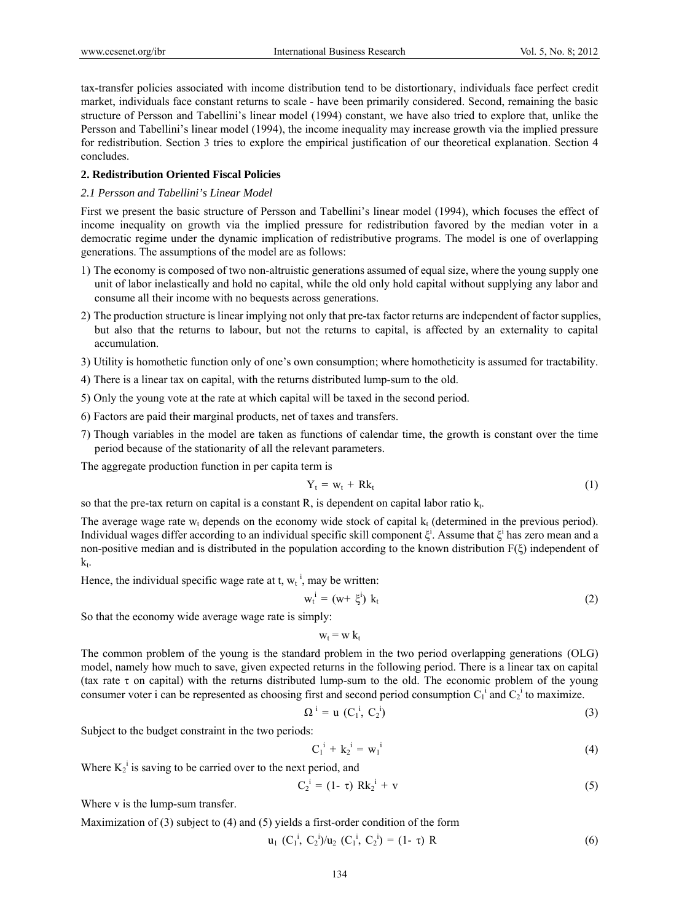tax-transfer policies associated with income distribution tend to be distortionary, individuals face perfect credit market, individuals face constant returns to scale - have been primarily considered. Second, remaining the basic structure of Persson and Tabellini's linear model (1994) constant, we have also tried to explore that, unlike the Persson and Tabellini's linear model (1994), the income inequality may increase growth via the implied pressure for redistribution. Section 3 tries to explore the empirical justification of our theoretical explanation. Section 4 concludes.

## **2. Redistribution Oriented Fiscal Policies**

## *2.1 Persson and Tabellini's Linear Model*

First we present the basic structure of Persson and Tabellini's linear model (1994), which focuses the effect of income inequality on growth via the implied pressure for redistribution favored by the median voter in a democratic regime under the dynamic implication of redistributive programs. The model is one of overlapping generations. The assumptions of the model are as follows:

- 1) The economy is composed of two non-altruistic generations assumed of equal size, where the young supply one unit of labor inelastically and hold no capital, while the old only hold capital without supplying any labor and consume all their income with no bequests across generations.
- 2) The production structure is linear implying not only that pre-tax factor returns are independent of factor supplies, but also that the returns to labour, but not the returns to capital, is affected by an externality to capital accumulation.
- 3) Utility is homothetic function only of one's own consumption; where homotheticity is assumed for tractability.
- 4) There is a linear tax on capital, with the returns distributed lump-sum to the old.
- 5) Only the young vote at the rate at which capital will be taxed in the second period.
- 6) Factors are paid their marginal products, net of taxes and transfers.
- 7) Though variables in the model are taken as functions of calendar time, the growth is constant over the time period because of the stationarity of all the relevant parameters.

The aggregate production function in per capita term is

$$
Y_t = w_t + Rk_t \tag{1}
$$

so that the pre-tax return on capital is a constant R, is dependent on capital labor ratio  $k_t$ .

The average wage rate  $w_t$  depends on the economy wide stock of capital  $k_t$  (determined in the previous period). Individual wages differ according to an individual specific skill component  $\xi^i$ . Assume that  $\xi^i$  has zero mean and a non-positive median and is distributed in the population according to the known distribution F(ξ) independent of  $k_t$ .

Hence, the individual specific wage rate at t,  $w_t$ <sup>i</sup>, may be written:

$$
w_t^i = (w + \xi^i) k_t \tag{2}
$$

So that the economy wide average wage rate is simply:

 $w_t = w k_t$ 

The common problem of the young is the standard problem in the two period overlapping generations (OLG) model, namely how much to save, given expected returns in the following period. There is a linear tax on capital (tax rate  $\tau$  on capital) with the returns distributed lump-sum to the old. The economic problem of the young consumer voter i can be represented as choosing first and second period consumption  $C_1^i$  and  $C_2^i$  to maximize.

$$
\Omega^i = u\ (C_1^i, C_2^i) \tag{3}
$$

Subject to the budget constraint in the two periods:

$$
C_1^i + k_2^i = w_1^i \tag{4}
$$

Where  $K_2^i$  is saving to be carried over to the next period, and

$$
C_2^i = (1 - \tau) R k_2^i + v \tag{5}
$$

Where v is the lump-sum transfer.

Maximization of (3) subject to (4) and (5) yields a first-order condition of the form

$$
u_1 (C_1^i, C_2^i)/u_2 (C_1^i, C_2^i) = (1 - \tau) R
$$
 (6)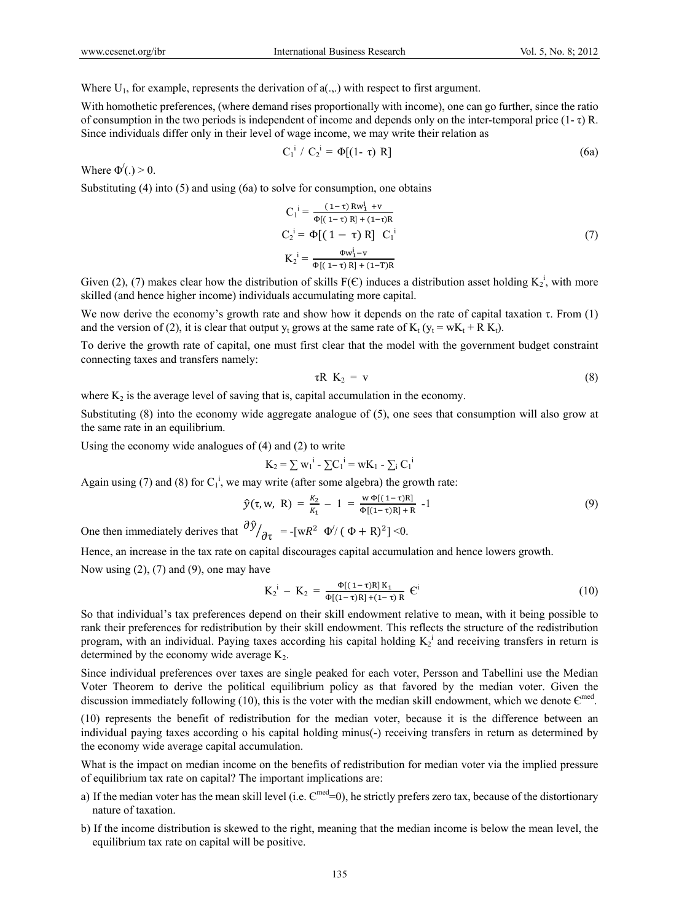Where  $U_1$ , for example, represents the derivation of  $a(.,.)$  with respect to first argument.

With homothetic preferences, (where demand rises proportionally with income), one can go further, since the ratio of consumption in the two periods is independent of income and depends only on the inter-temporal price  $(1-\tau)R$ . Since individuals differ only in their level of wage income, we may write their relation as

$$
C_1^i / C_2^i = \Phi[(1 - \tau) R]
$$
 (6a)

Where  $\Phi'(.) > 0$ .

Substituting (4) into (5) and using (6a) to solve for consumption, one obtains

$$
C_1^i = \frac{(1-\tau) R w_1^i + v}{\Phi[(1-\tau) R] + (1-\tau) R}
$$
  
\n
$$
C_2^i = \Phi[(1-\tau) R] C_1^i
$$
  
\n
$$
K_2^i = \frac{\Phi w_1^i - v}{\Phi[(1-\tau) R] + (1-T) R}
$$
\n(7)

Given (2), (7) makes clear how the distribution of skills  $F(\mathcal{E})$  induces a distribution asset holding  $K_2^i$ , with more skilled (and hence higher income) individuals accumulating more capital.

We now derive the economy's growth rate and show how it depends on the rate of capital taxation  $\tau$ . From (1) and the version of (2), it is clear that output  $y_t$  grows at the same rate of  $K_t$  ( $y_t = wK_t + R K_t$ ).

To derive the growth rate of capital, one must first clear that the model with the government budget constraint connecting taxes and transfers namely:

$$
\tau R \hspace{2.2cm} K_2 = v \hspace{2.2cm} (8)
$$

where  $K_2$  is the average level of saving that is, capital accumulation in the economy.

Substituting (8) into the economy wide aggregate analogue of (5), one sees that consumption will also grow at the same rate in an equilibrium.

Using the economy wide analogues of (4) and (2) to write

$$
K_2 = \sum w_1^{i} - \sum C_1^{i} = wK_1 - \sum_i C_1^{i}
$$

Again using (7) and (8) for  $C_1^i$ , we may write (after some algebra) the growth rate:

$$
\hat{y}(\tau, w, R) = \frac{k_2}{k_1} - 1 = \frac{w \Phi[(1-\tau)R]}{\Phi[(1-\tau)R] + R} - 1
$$
\n(9)

One then immediately derives that  $\frac{\partial \hat{y}}{\partial \tau} = -[wR^2 \ \Phi' / (\Phi + R)^2] \le 0$ .

Hence, an increase in the tax rate on capital discourages capital accumulation and hence lowers growth.

Now using  $(2)$ ,  $(7)$  and  $(9)$ , one may have

$$
K_2^i - K_2 = \frac{\Phi[(1-\tau)R]K_1}{\Phi[(1-\tau)R] + (1-\tau)R} \tC^i
$$
\n(10)

So that individual's tax preferences depend on their skill endowment relative to mean, with it being possible to rank their preferences for redistribution by their skill endowment. This reflects the structure of the redistribution program, with an individual. Paying taxes according his capital holding  $K_2^{\text{1}}$  and receiving transfers in return is determined by the economy wide average  $K_2$ .

Since individual preferences over taxes are single peaked for each voter, Persson and Tabellini use the Median Voter Theorem to derive the political equilibrium policy as that favored by the median voter. Given the discussion immediately following (10), this is the voter with the median skill endowment, which we denote  $\epsilon^{med}$ .

(10) represents the benefit of redistribution for the median voter, because it is the difference between an individual paying taxes according o his capital holding minus(-) receiving transfers in return as determined by the economy wide average capital accumulation.

What is the impact on median income on the benefits of redistribution for median voter via the implied pressure of equilibrium tax rate on capital? The important implications are:

- a) If the median voter has the mean skill level (i.e.  $\epsilon^{med}=0$ ), he strictly prefers zero tax, because of the distortionary nature of taxation.
- b) If the income distribution is skewed to the right, meaning that the median income is below the mean level, the equilibrium tax rate on capital will be positive.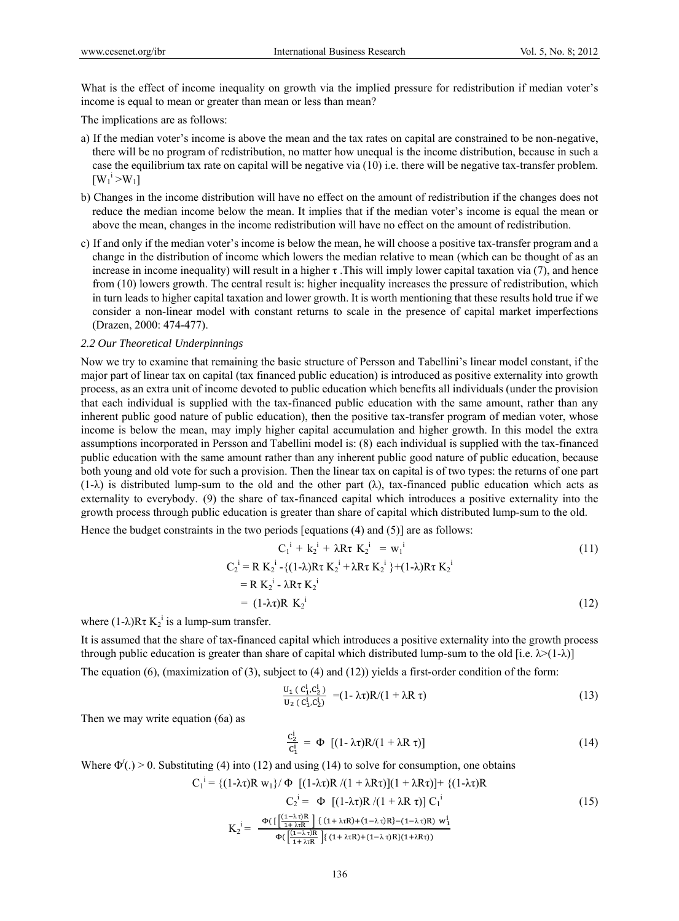What is the effect of income inequality on growth via the implied pressure for redistribution if median voter's income is equal to mean or greater than mean or less than mean?

The implications are as follows:

- a) If the median voter's income is above the mean and the tax rates on capital are constrained to be non-negative, there will be no program of redistribution, no matter how unequal is the income distribution, because in such a case the equilibrium tax rate on capital will be negative via (10) i.e. there will be negative tax-transfer problem.  $[W_1^i > W_1]$
- b) Changes in the income distribution will have no effect on the amount of redistribution if the changes does not reduce the median income below the mean. It implies that if the median voter's income is equal the mean or above the mean, changes in the income redistribution will have no effect on the amount of redistribution.
- c) If and only if the median voter's income is below the mean, he will choose a positive tax-transfer program and a change in the distribution of income which lowers the median relative to mean (which can be thought of as an increase in income inequality) will result in a higher  $\tau$ . This will imply lower capital taxation via (7), and hence from (10) lowers growth. The central result is: higher inequality increases the pressure of redistribution, which in turn leads to higher capital taxation and lower growth. It is worth mentioning that these results hold true if we consider a non-linear model with constant returns to scale in the presence of capital market imperfections (Drazen, 2000: 474-477).

## *2.2 Our Theoretical Underpinnings*

Now we try to examine that remaining the basic structure of Persson and Tabellini's linear model constant, if the major part of linear tax on capital (tax financed public education) is introduced as positive externality into growth process, as an extra unit of income devoted to public education which benefits all individuals (under the provision that each individual is supplied with the tax-financed public education with the same amount, rather than any inherent public good nature of public education), then the positive tax-transfer program of median voter, whose income is below the mean, may imply higher capital accumulation and higher growth. In this model the extra assumptions incorporated in Persson and Tabellini model is: (8) each individual is supplied with the tax-financed public education with the same amount rather than any inherent public good nature of public education, because both young and old vote for such a provision. Then the linear tax on capital is of two types: the returns of one part  $(1-\lambda)$  is distributed lump-sum to the old and the other part  $(\lambda)$ , tax-financed public education which acts as externality to everybody. (9) the share of tax-financed capital which introduces a positive externality into the growth process through public education is greater than share of capital which distributed lump-sum to the old.

Hence the budget constraints in the two periods [equations (4) and (5)] are as follows:

$$
C_1^i + k_2^i + \lambda R \tau K_2^i = w_1^i
$$
  
\n
$$
C_2^i = R K_2^i - \{ (1-\lambda)R \tau K_2^i + \lambda R \tau K_2^i \} + (1-\lambda)R \tau K_2^i
$$
  
\n
$$
= R K_2^i - \lambda R \tau K_2^i
$$
  
\n
$$
= (1-\lambda \tau)R K_2^i
$$
 (12)

where  $(1-\lambda)R\tau K_2^i$  is a lump-sum transfer.

It is assumed that the share of tax-financed capital which introduces a positive externality into the growth process through public education is greater than share of capital which distributed lump-sum to the old [i.e.  $\lambda$ >(1- $\lambda$ )]

The equation (6), (maximization of (3), subject to (4) and (12)) yields a first-order condition of the form:

$$
\frac{U_1 (c_1^i, c_2^i)}{U_2 (c_1^i, c_2^i)} = (1 - \lambda \tau) R / (1 + \lambda R \tau)
$$
\n(13)

Then we may write equation (6a) as

$$
\frac{c_2^i}{c_1^i} = \Phi \left[ (1 - \lambda \tau) R / (1 + \lambda R \tau) \right] \tag{14}
$$

Where  $\Phi'(.) > 0$ . Substituting (4) into (12) and using (14) to solve for consumption, one obtains

$$
C_1^i = \{ (1-\lambda \tau)R w_1 \} / \Phi \left[ (1-\lambda \tau)R / (1 + \lambda R \tau) \right] (1 + \lambda R \tau) + \{ (1-\lambda \tau)R
$$
  
\n
$$
C_2^i = \Phi \left[ (1-\lambda \tau)R / (1 + \lambda R \tau) \right] C_1^i
$$
  
\n
$$
K_2^i = \frac{\Phi\left( \left[ \frac{(\tau - \lambda \tau)R}{1 + \lambda \tau R} \right] \left\{ (1 + \lambda \tau R) + (1 - \lambda \tau)R \right\} - (1 - \lambda \tau)R \right\} w_1^i}{\Phi\left( \left[ \frac{(\tau + \lambda \tau R)}{1 + \lambda \tau R} \right] \left\{ (1 + \lambda \tau R) + (1 - \lambda \tau)R \right\} (1 + \lambda R \tau) \right)}
$$
  
\n(15)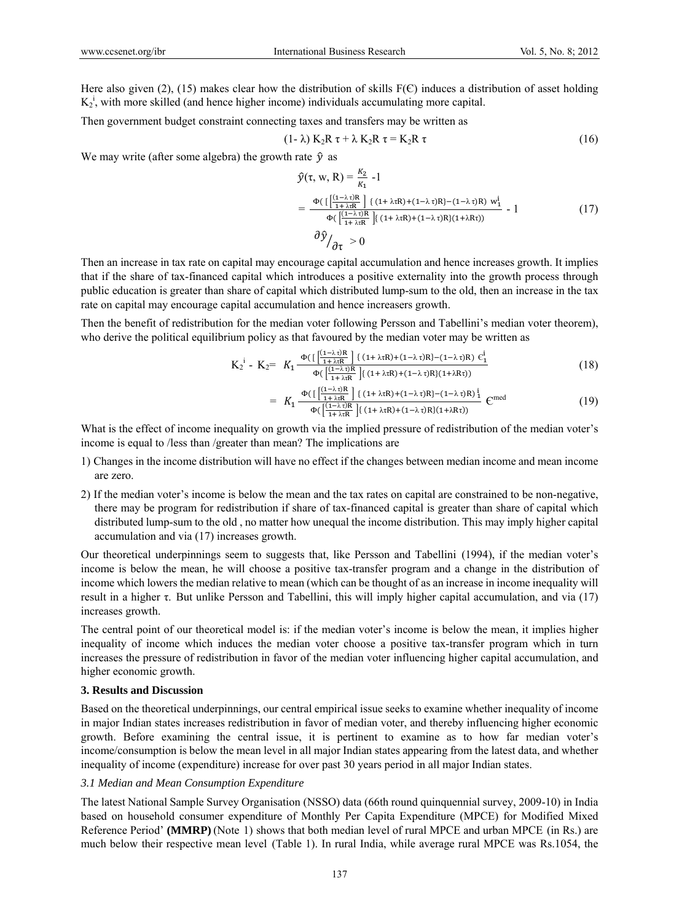Here also given (2), (15) makes clear how the distribution of skills  $F(\mathcal{E})$  induces a distribution of asset holding  $K_2$ <sup>i</sup>, with more skilled (and hence higher income) individuals accumulating more capital.

Then government budget constraint connecting taxes and transfers may be written as

$$
(1 - \lambda) K_2 R \tau + \lambda K_2 R \tau = K_2 R \tau
$$
\n
$$
(16)
$$

We may write (after some algebra) the growth rate  $\hat{y}$  as

$$
\hat{y}(\tau, w, R) = \frac{k_2}{\kappa_1} - 1
$$
\n
$$
= \frac{\Phi\left(\left[\frac{(1-\lambda\tau)R}{1+\lambda\tau R}\right] \{ (1+\lambda\tau R) + (1-\lambda\tau)R\} - (1-\lambda\tau)R \} w_1^i - 1}{\Phi\left(\frac{(1-\lambda\tau)R}{1+\lambda\tau R}\right] \{ (1+\lambda\tau R) + (1-\lambda\tau)R\} (1+\lambda R\tau))} - 1
$$
\n
$$
\frac{\partial \hat{y}}{\partial \tau} > 0
$$
\n(17)

Then an increase in tax rate on capital may encourage capital accumulation and hence increases growth. It implies that if the share of tax-financed capital which introduces a positive externality into the growth process through public education is greater than share of capital which distributed lump-sum to the old, then an increase in the tax rate on capital may encourage capital accumulation and hence increasers growth.

Then the benefit of redistribution for the median voter following Persson and Tabellini's median voter theorem), who derive the political equilibrium policy as that favoured by the median voter may be written as

$$
K_2^i - K_2 = K_1 \frac{\Phi\left(\left[\frac{(1-\lambda t)R}{1+\lambda tR}\right] \{ (1+\lambda tR) + (1-\lambda t)R\} - (1-\lambda t)R\right) \epsilon_1^i}{\Phi\left(\left[\frac{(1-\lambda t)R}{1+\lambda tR}\right] \{ (1+\lambda tR) + (1-\lambda t)R\} (1+\lambda Rt) \right)}
$$
(18)

$$
= K_1 \frac{\Phi\left(\left[\frac{(1-\lambda\tau)R}{1+\lambda\tau R}\right] \{(1+\lambda\tau R)+(1-\lambda\tau)R\}-(1-\lambda\tau)R\}\right]^{i}}{\Phi\left(\left[\frac{(1+\lambda\tau)R}{1+\lambda\tau R}\right] \{(1+\lambda\tau R)+(1-\lambda\tau)R\}(1+\lambda R\tau)\right)} \mathbf{C}^{\text{med}}
$$
\n(19)

What is the effect of income inequality on growth via the implied pressure of redistribution of the median voter's income is equal to /less than /greater than mean? The implications are

- 1) Changes in the income distribution will have no effect if the changes between median income and mean income are zero.
- 2) If the median voter's income is below the mean and the tax rates on capital are constrained to be non-negative, there may be program for redistribution if share of tax-financed capital is greater than share of capital which distributed lump-sum to the old , no matter how unequal the income distribution. This may imply higher capital accumulation and via (17) increases growth.

Our theoretical underpinnings seem to suggests that, like Persson and Tabellini (1994), if the median voter's income is below the mean, he will choose a positive tax-transfer program and a change in the distribution of income which lowers the median relative to mean (which can be thought of as an increase in income inequality will result in a higher τ. But unlike Persson and Tabellini, this will imply higher capital accumulation, and via (17) increases growth.

The central point of our theoretical model is: if the median voter's income is below the mean, it implies higher inequality of income which induces the median voter choose a positive tax-transfer program which in turn increases the pressure of redistribution in favor of the median voter influencing higher capital accumulation, and higher economic growth.

## **3. Results and Discussion**

Based on the theoretical underpinnings, our central empirical issue seeks to examine whether inequality of income in major Indian states increases redistribution in favor of median voter, and thereby influencing higher economic growth. Before examining the central issue, it is pertinent to examine as to how far median voter's income/consumption is below the mean level in all major Indian states appearing from the latest data, and whether inequality of income (expenditure) increase for over past 30 years period in all major Indian states.

#### *3.1 Median and Mean Consumption Expenditure*

The latest National Sample Survey Organisation (NSSO) data (66th round quinquennial survey, 2009-10) in India based on household consumer expenditure of Monthly Per Capita Expenditure (MPCE) for Modified Mixed Reference Period' **(MMRP)** (Note 1) shows that both median level of rural MPCE and urban MPCE (in Rs.) are much below their respective mean level (Table 1). In rural India, while average rural MPCE was Rs.1054, the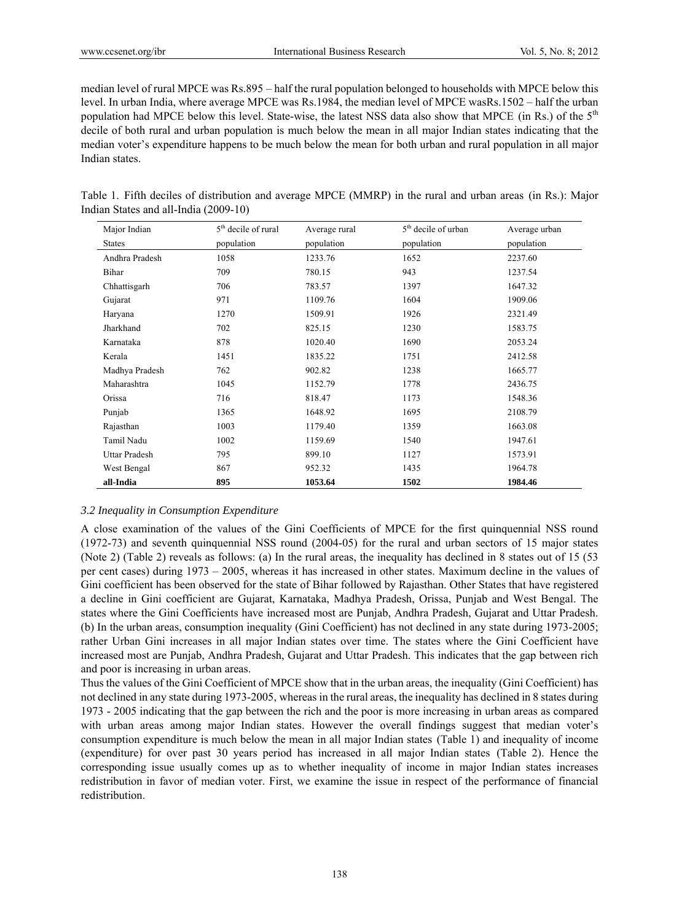median level of rural MPCE was Rs.895 – half the rural population belonged to households with MPCE below this level. In urban India, where average MPCE was Rs.1984, the median level of MPCE wasRs.1502 – half the urban population had MPCE below this level. State-wise, the latest NSS data also show that MPCE (in Rs.) of the 5th decile of both rural and urban population is much below the mean in all major Indian states indicating that the median voter's expenditure happens to be much below the mean for both urban and rural population in all major Indian states.

|  |  | Table 1. Fifth deciles of distribution and average MPCE (MMRP) in the rural and urban areas (in Rs.): Major |  |  |  |  |  |  |
|--|--|-------------------------------------------------------------------------------------------------------------|--|--|--|--|--|--|
|  |  | Indian States and all-India (2009-10)                                                                       |  |  |  |  |  |  |

| Major Indian   | 5 <sup>th</sup> decile of rural | Average rural | 5 <sup>th</sup> decile of urban | Average urban |
|----------------|---------------------------------|---------------|---------------------------------|---------------|
| <b>States</b>  | population                      | population    | population                      | population    |
| Andhra Pradesh | 1058                            | 1233.76       | 1652                            | 2237.60       |
| Bihar          | 709                             | 780.15        | 943                             | 1237.54       |
| Chhattisgarh   | 706                             | 783.57        | 1397                            | 1647.32       |
| Gujarat        | 971                             | 1109.76       | 1604                            | 1909.06       |
| Haryana        | 1270                            | 1509.91       | 1926                            | 2321.49       |
| Jharkhand      | 702                             | 825.15        | 1230                            | 1583.75       |
| Karnataka      | 878                             | 1020.40       | 1690                            | 2053.24       |
| Kerala         | 1451                            | 1835.22       | 1751                            | 2412.58       |
| Madhya Pradesh | 762                             | 902.82        | 1238                            | 1665.77       |
| Maharashtra    | 1045                            | 1152.79       | 1778                            | 2436.75       |
| Orissa         | 716                             | 818.47        | 1173                            | 1548.36       |
| Punjab         | 1365                            | 1648.92       | 1695                            | 2108.79       |
| Rajasthan      | 1003                            | 1179.40       | 1359                            | 1663.08       |
| Tamil Nadu     | 1002                            | 1159.69       | 1540                            | 1947.61       |
| Uttar Pradesh  | 795                             | 899.10        | 1127                            | 1573.91       |
| West Bengal    | 867                             | 952.32        | 1435                            | 1964.78       |
| all-India      | 895                             | 1053.64       | 1502                            | 1984.46       |

# *3.2 Inequality in Consumption Expenditure*

A close examination of the values of the Gini Coefficients of MPCE for the first quinquennial NSS round (1972-73) and seventh quinquennial NSS round (2004-05) for the rural and urban sectors of 15 major states (Note 2) (Table 2) reveals as follows: (a) In the rural areas, the inequality has declined in 8 states out of 15 (53 per cent cases) during 1973 – 2005, whereas it has increased in other states. Maximum decline in the values of Gini coefficient has been observed for the state of Bihar followed by Rajasthan. Other States that have registered a decline in Gini coefficient are Gujarat, Karnataka, Madhya Pradesh, Orissa, Punjab and West Bengal. The states where the Gini Coefficients have increased most are Punjab, Andhra Pradesh, Gujarat and Uttar Pradesh. (b) In the urban areas, consumption inequality (Gini Coefficient) has not declined in any state during 1973-2005; rather Urban Gini increases in all major Indian states over time. The states where the Gini Coefficient have increased most are Punjab, Andhra Pradesh, Gujarat and Uttar Pradesh. This indicates that the gap between rich and poor is increasing in urban areas.

Thus the values of the Gini Coefficient of MPCE show that in the urban areas, the inequality (Gini Coefficient) has not declined in any state during 1973-2005, whereas in the rural areas, the inequality has declined in 8 states during 1973 - 2005 indicating that the gap between the rich and the poor is more increasing in urban areas as compared with urban areas among major Indian states. However the overall findings suggest that median voter's consumption expenditure is much below the mean in all major Indian states (Table 1) and inequality of income (expenditure) for over past 30 years period has increased in all major Indian states (Table 2). Hence the corresponding issue usually comes up as to whether inequality of income in major Indian states increases redistribution in favor of median voter. First, we examine the issue in respect of the performance of financial redistribution.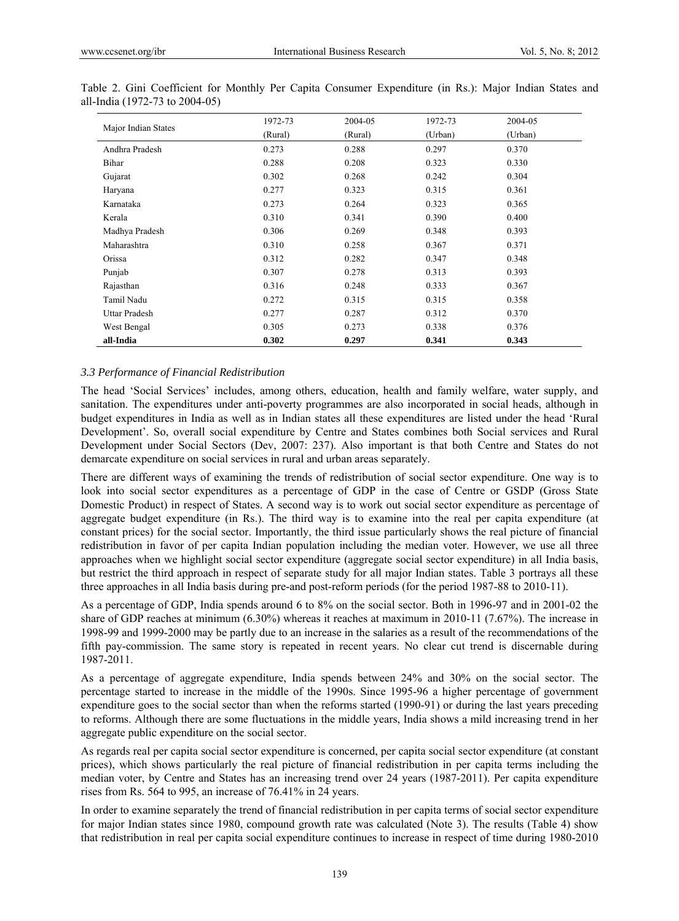|                      | 1972-73 | 2004-05 | 1972-73 | 2004-05 |
|----------------------|---------|---------|---------|---------|
| Major Indian States  | (Rural) | (Rural) | (Urban) | (Urban) |
| Andhra Pradesh       | 0.273   | 0.288   | 0.297   | 0.370   |
| Bihar                | 0.288   | 0.208   | 0.323   | 0.330   |
| Gujarat              | 0.302   | 0.268   | 0.242   | 0.304   |
| Haryana              | 0.277   | 0.323   | 0.315   | 0.361   |
| Karnataka            | 0.273   | 0.264   | 0.323   | 0.365   |
| Kerala               | 0.310   | 0.341   | 0.390   | 0.400   |
| Madhya Pradesh       | 0.306   | 0.269   | 0.348   | 0.393   |
| Maharashtra          | 0.310   | 0.258   | 0.367   | 0.371   |
| Orissa               | 0.312   | 0.282   | 0.347   | 0.348   |
| Punjab               | 0.307   | 0.278   | 0.313   | 0.393   |
| Rajasthan            | 0.316   | 0.248   | 0.333   | 0.367   |
| Tamil Nadu           | 0.272   | 0.315   | 0.315   | 0.358   |
| <b>Uttar Pradesh</b> | 0.277   | 0.287   | 0.312   | 0.370   |
| West Bengal          | 0.305   | 0.273   | 0.338   | 0.376   |
| all-India            | 0.302   | 0.297   | 0.341   | 0.343   |

Table 2. Gini Coefficient for Monthly Per Capita Consumer Expenditure (in Rs.): Major Indian States and all-India (1972-73 to 2004-05)

#### *3.3 Performance of Financial Redistribution*

The head 'Social Services' includes, among others, education, health and family welfare, water supply, and sanitation. The expenditures under anti-poverty programmes are also incorporated in social heads, although in budget expenditures in India as well as in Indian states all these expenditures are listed under the head 'Rural Development'. So, overall social expenditure by Centre and States combines both Social services and Rural Development under Social Sectors (Dev, 2007: 237). Also important is that both Centre and States do not demarcate expenditure on social services in rural and urban areas separately.

There are different ways of examining the trends of redistribution of social sector expenditure. One way is to look into social sector expenditures as a percentage of GDP in the case of Centre or GSDP (Gross State Domestic Product) in respect of States. A second way is to work out social sector expenditure as percentage of aggregate budget expenditure (in Rs.). The third way is to examine into the real per capita expenditure (at constant prices) for the social sector. Importantly, the third issue particularly shows the real picture of financial redistribution in favor of per capita Indian population including the median voter. However, we use all three approaches when we highlight social sector expenditure (aggregate social sector expenditure) in all India basis, but restrict the third approach in respect of separate study for all major Indian states. Table 3 portrays all these three approaches in all India basis during pre-and post-reform periods (for the period 1987-88 to 2010-11).

As a percentage of GDP, India spends around 6 to 8% on the social sector. Both in 1996-97 and in 2001-02 the share of GDP reaches at minimum (6.30%) whereas it reaches at maximum in 2010-11 (7.67%). The increase in 1998-99 and 1999-2000 may be partly due to an increase in the salaries as a result of the recommendations of the fifth pay-commission. The same story is repeated in recent years. No clear cut trend is discernable during 1987-2011.

As a percentage of aggregate expenditure, India spends between 24% and 30% on the social sector. The percentage started to increase in the middle of the 1990s. Since 1995-96 a higher percentage of government expenditure goes to the social sector than when the reforms started (1990-91) or during the last years preceding to reforms. Although there are some fluctuations in the middle years, India shows a mild increasing trend in her aggregate public expenditure on the social sector.

As regards real per capita social sector expenditure is concerned, per capita social sector expenditure (at constant prices), which shows particularly the real picture of financial redistribution in per capita terms including the median voter, by Centre and States has an increasing trend over 24 years (1987-2011). Per capita expenditure rises from Rs. 564 to 995, an increase of 76.41% in 24 years.

In order to examine separately the trend of financial redistribution in per capita terms of social sector expenditure for major Indian states since 1980, compound growth rate was calculated (Note 3). The results (Table 4) show that redistribution in real per capita social expenditure continues to increase in respect of time during 1980-2010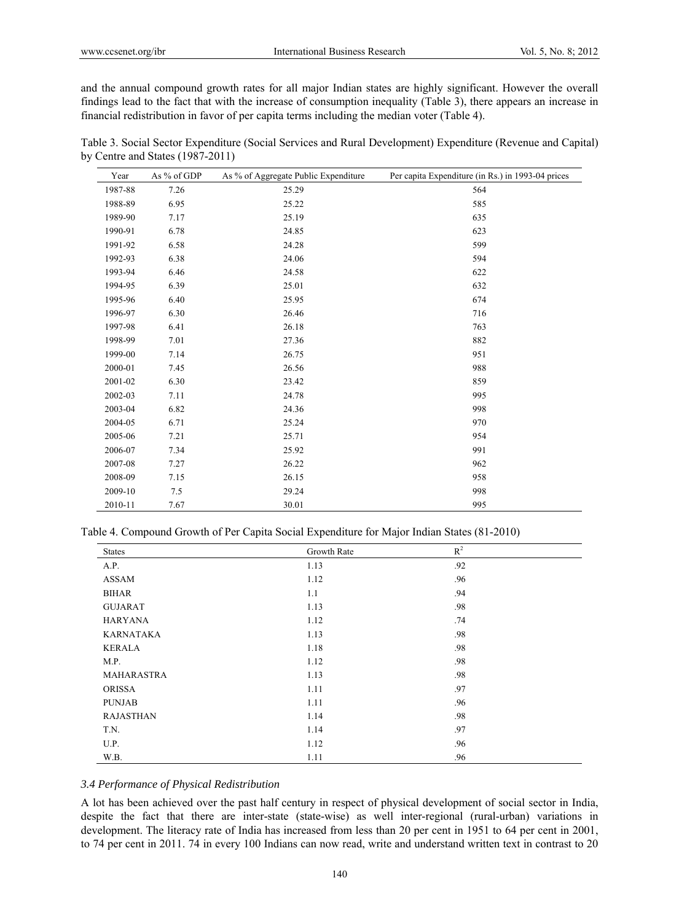and the annual compound growth rates for all major Indian states are highly significant. However the overall findings lead to the fact that with the increase of consumption inequality (Table 3), there appears an increase in financial redistribution in favor of per capita terms including the median voter (Table 4).

| Table 3. Social Sector Expenditure (Social Services and Rural Development) Expenditure (Revenue and Capital) |  |  |
|--------------------------------------------------------------------------------------------------------------|--|--|
| by Centre and States $(1987-2011)$                                                                           |  |  |

| Year    | As % of GDP | As % of Aggregate Public Expenditure | Per capita Expenditure (in Rs.) in 1993-04 prices |
|---------|-------------|--------------------------------------|---------------------------------------------------|
| 1987-88 | 7.26        | 25.29                                | 564                                               |
| 1988-89 | 6.95        | 25.22                                | 585                                               |
| 1989-90 | 7.17        | 25.19                                | 635                                               |
| 1990-91 | 6.78        | 24.85                                | 623                                               |
| 1991-92 | 6.58        | 24.28                                | 599                                               |
| 1992-93 | 6.38        | 24.06                                | 594                                               |
| 1993-94 | 6.46        | 24.58                                | 622                                               |
| 1994-95 | 6.39        | 25.01                                | 632                                               |
| 1995-96 | 6.40        | 25.95                                | 674                                               |
| 1996-97 | 6.30        | 26.46                                | 716                                               |
| 1997-98 | 6.41        | 26.18                                | 763                                               |
| 1998-99 | 7.01        | 27.36                                | 882                                               |
| 1999-00 | 7.14        | 26.75                                | 951                                               |
| 2000-01 | 7.45        | 26.56                                | 988                                               |
| 2001-02 | 6.30        | 23.42                                | 859                                               |
| 2002-03 | 7.11        | 24.78                                | 995                                               |
| 2003-04 | 6.82        | 24.36                                | 998                                               |
| 2004-05 | 6.71        | 25.24                                | 970                                               |
| 2005-06 | 7.21        | 25.71                                | 954                                               |
| 2006-07 | 7.34        | 25.92                                | 991                                               |
| 2007-08 | 7.27        | 26.22                                | 962                                               |
| 2008-09 | 7.15        | 26.15                                | 958                                               |
| 2009-10 | 7.5         | 29.24                                | 998                                               |
| 2010-11 | 7.67        | 30.01                                | 995                                               |

|  |  | Table 4. Compound Growth of Per Capita Social Expenditure for Major Indian States (81-2010) |  |
|--|--|---------------------------------------------------------------------------------------------|--|
|  |  |                                                                                             |  |

| <b>States</b>    | Growth Rate | $\mathbb{R}^2$ |
|------------------|-------------|----------------|
| A.P.             | 1.13        | .92            |
| ASSAM            | 1.12        | .96            |
| <b>BIHAR</b>     | 1.1         | .94            |
| <b>GUJARAT</b>   | 1.13        | .98            |
| <b>HARYANA</b>   | 1.12        | .74            |
| KARNATAKA        | 1.13        | .98            |
| <b>KERALA</b>    | 1.18        | .98            |
| M.P.             | 1.12        | .98            |
| MAHARASTRA       | 1.13        | .98            |
| <b>ORISSA</b>    | 1.11        | .97            |
| <b>PUNJAB</b>    | 1.11        | .96            |
| <b>RAJASTHAN</b> | 1.14        | .98            |
| T.N.             | 1.14        | .97            |
| U.P.             | 1.12        | .96            |
| W.B.             | 1.11        | .96            |

# *3.4 Performance of Physical Redistribution*

A lot has been achieved over the past half century in respect of physical development of social sector in India, despite the fact that there are inter-state (state-wise) as well inter-regional (rural-urban) variations in development. The literacy rate of India has increased from less than 20 per cent in 1951 to 64 per cent in 2001, to 74 per cent in 2011. 74 in every 100 Indians can now read, write and understand written text in contrast to 20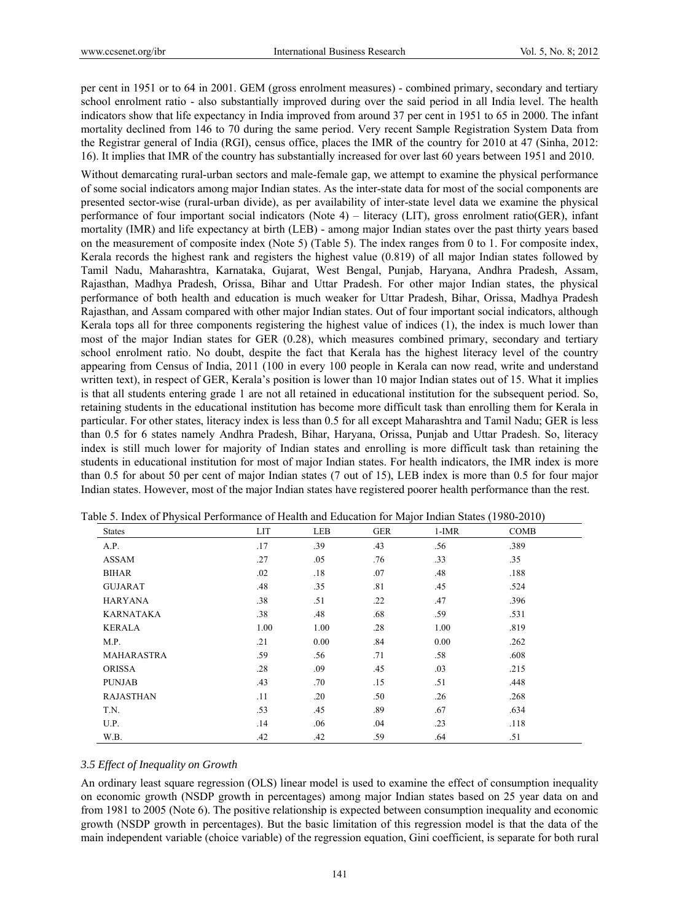per cent in 1951 or to 64 in 2001. GEM (gross enrolment measures) - combined primary, secondary and tertiary school enrolment ratio - also substantially improved during over the said period in all India level. The health indicators show that life expectancy in India improved from around 37 per cent in 1951 to 65 in 2000. The infant mortality declined from 146 to 70 during the same period. Very recent Sample Registration System Data from the Registrar general of India (RGI), census office, places the IMR of the country for 2010 at 47 (Sinha, 2012: 16). It implies that IMR of the country has substantially increased for over last 60 years between 1951 and 2010.

Without demarcating rural-urban sectors and male-female gap, we attempt to examine the physical performance of some social indicators among major Indian states. As the inter-state data for most of the social components are presented sector-wise (rural-urban divide), as per availability of inter-state level data we examine the physical performance of four important social indicators (Note 4) – literacy (LIT), gross enrolment ratio(GER), infant mortality (IMR) and life expectancy at birth (LEB) - among major Indian states over the past thirty years based on the measurement of composite index (Note 5) (Table 5). The index ranges from 0 to 1. For composite index, Kerala records the highest rank and registers the highest value (0.819) of all major Indian states followed by Tamil Nadu, Maharashtra, Karnataka, Gujarat, West Bengal, Punjab, Haryana, Andhra Pradesh, Assam, Rajasthan, Madhya Pradesh, Orissa, Bihar and Uttar Pradesh. For other major Indian states, the physical performance of both health and education is much weaker for Uttar Pradesh, Bihar, Orissa, Madhya Pradesh Rajasthan, and Assam compared with other major Indian states. Out of four important social indicators, although Kerala tops all for three components registering the highest value of indices (1), the index is much lower than most of the major Indian states for GER (0.28), which measures combined primary, secondary and tertiary school enrolment ratio. No doubt, despite the fact that Kerala has the highest literacy level of the country appearing from Census of India, 2011 (100 in every 100 people in Kerala can now read, write and understand written text), in respect of GER, Kerala's position is lower than 10 major Indian states out of 15. What it implies is that all students entering grade 1 are not all retained in educational institution for the subsequent period. So, retaining students in the educational institution has become more difficult task than enrolling them for Kerala in particular. For other states, literacy index is less than 0.5 for all except Maharashtra and Tamil Nadu; GER is less than 0.5 for 6 states namely Andhra Pradesh, Bihar, Haryana, Orissa, Punjab and Uttar Pradesh. So, literacy index is still much lower for majority of Indian states and enrolling is more difficult task than retaining the students in educational institution for most of major Indian states. For health indicators, the IMR index is more than 0.5 for about 50 per cent of major Indian states (7 out of 15), LEB index is more than 0.5 for four major Indian states. However, most of the major Indian states have registered poorer health performance than the rest.

| <b>States</b>     | <b>LIT</b> | LEB  | <b>GER</b> | $1-IMR$ | <b>COMB</b> |  |
|-------------------|------------|------|------------|---------|-------------|--|
| A.P.              | .17        | .39  | .43        | .56     | .389        |  |
| <b>ASSAM</b>      | .27        | .05  | .76        | .33     | .35         |  |
| <b>BIHAR</b>      | .02        | .18  | .07        | .48     | .188        |  |
| <b>GUJARAT</b>    | .48        | .35  | .81        | .45     | .524        |  |
| <b>HARYANA</b>    | .38        | .51  | .22        | .47     | .396        |  |
| <b>KARNATAKA</b>  | .38        | .48  | .68        | .59     | .531        |  |
| <b>KERALA</b>     | 1.00       | 1.00 | .28        | 1.00    | .819        |  |
| M.P.              | .21        | 0.00 | .84        | 0.00    | .262        |  |
| <b>MAHARASTRA</b> | .59        | .56  | .71        | .58     | .608        |  |
| <b>ORISSA</b>     | .28        | .09  | .45        | .03     | .215        |  |
| <b>PUNJAB</b>     | .43        | .70  | .15        | .51     | .448        |  |
| <b>RAJASTHAN</b>  | .11        | .20  | .50        | .26     | .268        |  |
| T.N.              | .53        | .45  | .89        | .67     | .634        |  |
| U.P.              | .14        | .06  | .04        | .23     | .118        |  |
| W.B.              | .42        | .42  | .59        | .64     | .51         |  |

Table 5. Index of Physical Performance of Health and Education for Major Indian States (1980-2010)

# *3.5 Effect of Inequality on Growth*

An ordinary least square regression (OLS) linear model is used to examine the effect of consumption inequality on economic growth (NSDP growth in percentages) among major Indian states based on 25 year data on and from 1981 to 2005 (Note 6). The positive relationship is expected between consumption inequality and economic growth (NSDP growth in percentages). But the basic limitation of this regression model is that the data of the main independent variable (choice variable) of the regression equation, Gini coefficient, is separate for both rural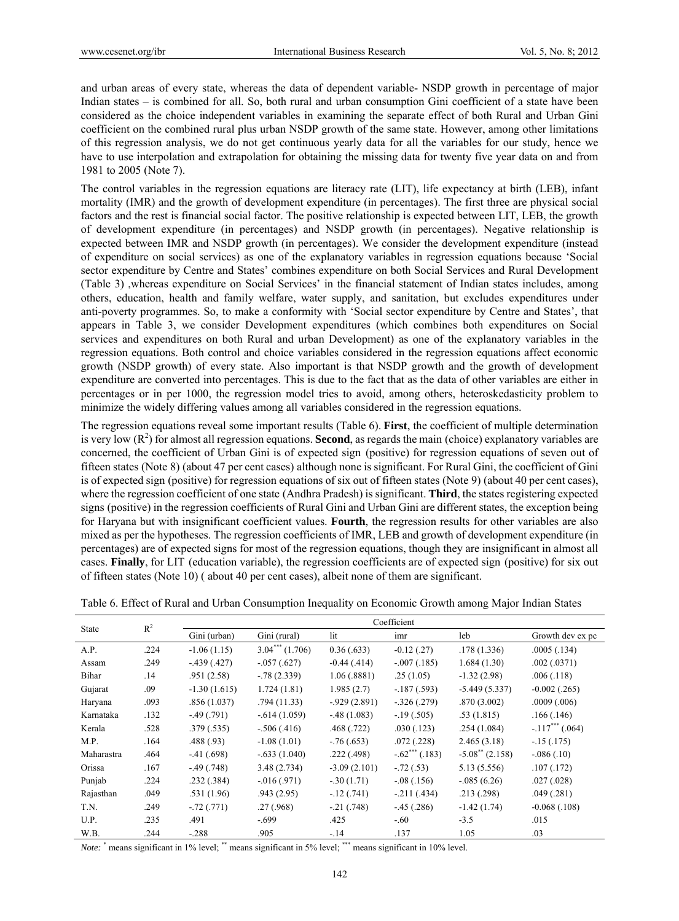and urban areas of every state, whereas the data of dependent variable- NSDP growth in percentage of major Indian states – is combined for all. So, both rural and urban consumption Gini coefficient of a state have been considered as the choice independent variables in examining the separate effect of both Rural and Urban Gini coefficient on the combined rural plus urban NSDP growth of the same state. However, among other limitations of this regression analysis, we do not get continuous yearly data for all the variables for our study, hence we have to use interpolation and extrapolation for obtaining the missing data for twenty five year data on and from 1981 to 2005 (Note 7).

The control variables in the regression equations are literacy rate (LIT), life expectancy at birth (LEB), infant mortality (IMR) and the growth of development expenditure (in percentages). The first three are physical social factors and the rest is financial social factor. The positive relationship is expected between LIT, LEB, the growth of development expenditure (in percentages) and NSDP growth (in percentages). Negative relationship is expected between IMR and NSDP growth (in percentages). We consider the development expenditure (instead of expenditure on social services) as one of the explanatory variables in regression equations because 'Social sector expenditure by Centre and States' combines expenditure on both Social Services and Rural Development (Table 3) ,whereas expenditure on Social Services' in the financial statement of Indian states includes, among others, education, health and family welfare, water supply, and sanitation, but excludes expenditures under anti-poverty programmes. So, to make a conformity with 'Social sector expenditure by Centre and States', that appears in Table 3, we consider Development expenditures (which combines both expenditures on Social services and expenditures on both Rural and urban Development) as one of the explanatory variables in the regression equations. Both control and choice variables considered in the regression equations affect economic growth (NSDP growth) of every state. Also important is that NSDP growth and the growth of development expenditure are converted into percentages. This is due to the fact that as the data of other variables are either in percentages or in per 1000, the regression model tries to avoid, among others, heteroskedasticity problem to minimize the widely differing values among all variables considered in the regression equations.

The regression equations reveal some important results (Table 6). **First**, the coefficient of multiple determination is very low  $(R^2)$  for almost all regression equations. **Second**, as regards the main (choice) explanatory variables are concerned, the coefficient of Urban Gini is of expected sign (positive) for regression equations of seven out of fifteen states (Note 8) (about 47 per cent cases) although none is significant. For Rural Gini, the coefficient of Gini is of expected sign (positive) for regression equations of six out of fifteen states (Note 9) (about 40 per cent cases), where the regression coefficient of one state (Andhra Pradesh) is significant. **Third**, the states registering expected signs (positive) in the regression coefficients of Rural Gini and Urban Gini are different states, the exception being for Haryana but with insignificant coefficient values. **Fourth**, the regression results for other variables are also mixed as per the hypotheses. The regression coefficients of IMR, LEB and growth of development expenditure (in percentages) are of expected signs for most of the regression equations, though they are insignificant in almost all cases. **Finally**, for LIT (education variable), the regression coefficients are of expected sign (positive) for six out of fifteen states (Note 10) ( about 40 per cent cases), albeit none of them are significant.

| <b>State</b> | $R^2$ | Coefficient      |                  |                 |                              |                            |                   |  |  |
|--------------|-------|------------------|------------------|-----------------|------------------------------|----------------------------|-------------------|--|--|
|              |       | Gini (urban)     | Gini (rural)     | lit             | imr                          | leb                        | Growth dev ex pc  |  |  |
| A.P.         | .224  | $-1.06(1.15)$    | $3.04***(1.706)$ | 0.36(.633)      | $-0.12$ (.27)                | .178(1.336)                | .0005(.134)       |  |  |
| Assam        | .249  | $-439(0.427)$    | $-.057(.627)$    | $-0.44$ (.414)  | $-.007(.185)$                | 1.684(1.30)                | .002(.0371)       |  |  |
| Bihar        | .14   | .951(2.58)       | $-78(2.339)$     | 1.06(.8881)     | .25(1.05)                    | $-1.32(2.98)$              | .006(.118)        |  |  |
| Gujarat      | .09   | $-1.30(1.615)$   | 1.724(1.81)      | 1.985(2.7)      | $-187(.593)$                 | $-5.449(5.337)$            | $-0.002$ (.265)   |  |  |
| Haryana      | .093  | .856(1.037)      | .794(11.33)      | $-0.929(2.891)$ | $-.326(.279)$                | .870(3.002)                | .0009(.006)       |  |  |
| Karnataka    | .132  | $-49(0.791)$     | $-0.614(1.059)$  | $-0.48(1.083)$  | $-19(0.505)$                 | .53(1.815)                 | .166(.146)        |  |  |
| Kerala       | .528  | .379(.535)       | $-.506(.416)$    | .468(.722)      | .030(.123)                   | .254 (1.084)               | $-.117***$ (.064) |  |  |
| M.P.         | .164  | .488(.93)        | $-1.08(1.01)$    | $-76(.653)$     | .072(.228)                   | 2.465(3.18)                | $-15(0.175)$      |  |  |
| Maharastra   | .464  | $-41(0.698)$     | $-.633(1.040)$   | .222(.498)      | $-.62$ <sup>***</sup> (.183) | $-5.08^{\ast\ast}$ (2.158) | $-.086(.10)$      |  |  |
| Orissa       | .167  | $-0.49$ $(.748)$ | 3.48(2.734)      | $-3.09(2.101)$  | $-.72(.53)$                  | 5.13(5.556)                | .107(.172)        |  |  |
| Punjab       | .224  | .232(.384)       | $-0.016(0.971)$  | $-0.30(1.71)$   | $-.08(.156)$                 | $-0.085(6.26)$             | .027(.028)        |  |  |
| Rajasthan    | .049  | .531(1.96)       | .943(2.95)       | $-12(.741)$     | $-211(0.434)$                | .213(.298)                 | .049(.281)        |  |  |
| T.N.         | .249  | $-72(0.771)$     | .27(.968)        | $-.21(.748)$    | $-45(0.286)$                 | $-1.42(1.74)$              | $-0.068$ $(.108)$ |  |  |
| U.P.         | .235  | .491             | $-.699$          | .425            | $-.60$                       | $-3.5$                     | .015              |  |  |
| W.B.         | .244  | $-.288$          | .905             | $-.14$          | .137                         | 1.05                       | .03               |  |  |

Table 6. Effect of Rural and Urban Consumption Inequality on Economic Growth among Major Indian States

*Note:* \* means significant in 1% level; \*\* means significant in 5% level; \*\*\* means significant in 10% level.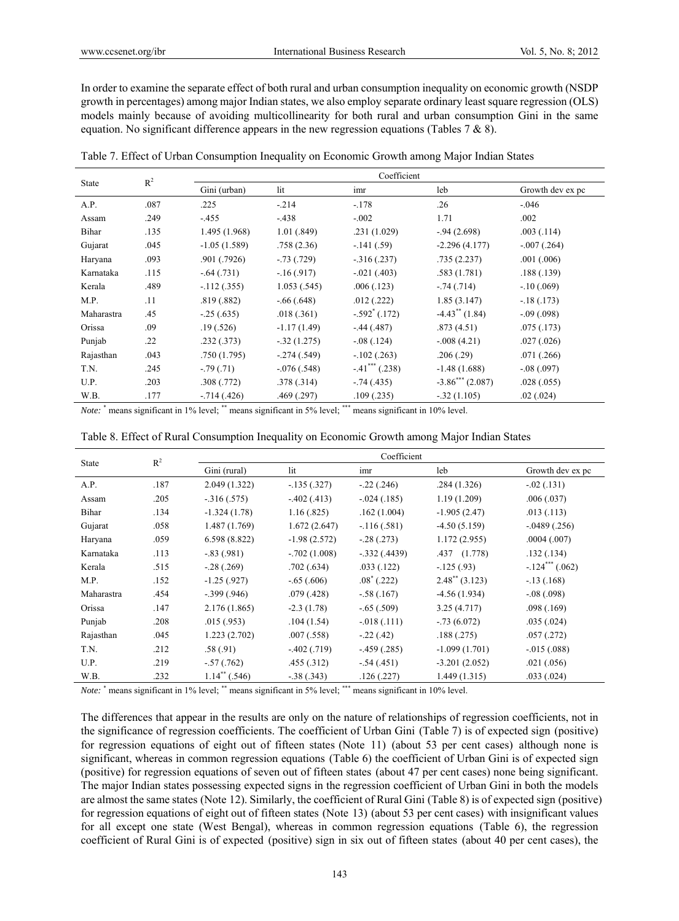In order to examine the separate effect of both rural and urban consumption inequality on economic growth (NSDP growth in percentages) among major Indian states, we also employ separate ordinary least square regression (OLS) models mainly because of avoiding multicollinearity for both rural and urban consumption Gini in the same equation. No significant difference appears in the new regression equations (Tables 7 & 8).

| <b>State</b> | $R^2$ |                |                | Coefficient    |                 |                  |
|--------------|-------|----------------|----------------|----------------|-----------------|------------------|
|              |       | Gini (urban)   | lit            | imr            | leb             | Growth dev ex pc |
| A.P.         | .087  | .225           | $-.214$        | $-.178$        | .26             | $-.046$          |
| Assam        | .249  | $-.455$        | $-.438$        | $-.002$        | 1.71            | .002             |
| Bihar        | .135  | 1.495 (1.968)  | 1.01(.849)     | .231(1.029)    | $-94(2.698)$    | .003(0.114)      |
| Gujarat      | .045  | $-1.05(1.589)$ | .758(2.36)     | $-.141(.59)$   | $-2.296(4.177)$ | $-.007(.264)$    |
| Haryana      | .093  | .901 (.7926)   | $-.73(.729)$   | $-316(.237)$   | .735(2.237)     | .001(.006)       |
| Karnataka    | .115  | $-.64(.731)$   | $-16(0.917)$   | $-.021(.403)$  | .583(1.781)     | .188(.139)       |
| Kerala       | .489  | $-112(.355)$   | 1.053(.545)    | .006(.123)     | $-.74(.714)$    | $-10(.069)$      |
| M.P.         | .11   | .819(.882)     | $-.66(.648)$   | .012(.222)     | 1.85(3.147)     | $-18(173)$       |
| Maharastra   | .45   | $-25(.635)$    | .018(.361)     | $-.592$ (.172) | $-4.43$ (1.84)  | $-0.09(0.098)$   |
| Orissa       | .09   | .19(.526)      | $-1.17(1.49)$  | $-44(0.487)$   | .873(4.51)      | .075(.173)       |
| Punjab       | .22   | .232(.373)     | $-0.32(1.275)$ | $-.08(.124)$   | $-.008(4.21)$   | .027(.026)       |
| Rajasthan    | .043  | .750(1.795)    | $-.274(.549)$  | $-.102(.263)$  | .206(.29)       | .071(.266)       |
| T.N.         | .245  | $-0.79(0.71)$  | $-.076(.548)$  | $-.41$ (.238)  | $-1.48(1.688)$  | $-.08(.097)$     |
| U.P.         | .203  | .308(.772)     | .378(.314)     | $-.74(.435)$   | $-3.86$ (2.087) | .028(.055)       |
| W.B.         | .177  | $-714(0.426)$  | .469(.297)     | .109(.235)     | $-.32(1.105)$   | .02(0.024)       |

Table 7. Effect of Urban Consumption Inequality on Economic Growth among Major Indian States

*Note:* \* means significant in 1% level; \*\* means significant in 5% level; \*\*\* means significant in 10% level.

| State      | $R^2$ | Coefficient                 |                |                      |                           |                   |  |
|------------|-------|-----------------------------|----------------|----------------------|---------------------------|-------------------|--|
|            |       | Gini (rural)                | lit            | imr                  | leb                       | Growth dev ex pc  |  |
| A.P.       | .187  | 2.049(1.322)                | $-135(.327)$   | $-.22(.246)$         | .284(1.326)               | $-0.02$ (.131)    |  |
| Assam      | .205  | $-0.316(0.575)$             | $-402(413)$    | $-.024(.185)$        | 1.19(1.209)               | .006(.037)        |  |
| Bihar      | .134  | $-1.324(1.78)$              | 1.16(.825)     | .162(1.004)          | $-1.905(2.47)$            | .013(.113)        |  |
| Gujarat    | .058  | 1.487 (1.769)               | 1.672(2.647)   | $-116(.581)$         | $-4.50(5.159)$            | $-0.0489(0.256)$  |  |
| Haryana    | .059  | 6.598 (8.822)               | $-1.98(2.572)$ | $-.28(.273)$         | 1.172(2.955)              | .0004(.007)       |  |
| Karnataka  | .113  | $-.83(.981)$                | $-.702(1.008)$ | $-.332(.4439)$       | $.437$ $(1.778)$          | .132(.134)        |  |
| Kerala     | .515  | $-.28(.269)$                | .702(.634)     | .033(.122)           | $-125(0.93)$              | $-.124***$ (.062) |  |
| M.P.       | .152  | $-1.25(.927)$               | $-.65(.606)$   | $.08^{\circ}$ (.222) | $2.48^{\ast\ast}$ (3.123) | $-.13(.168)$      |  |
| Maharastra | .454  | $-0.399(0.946)$             | .079(0.428)    | $-.58(.167)$         | $-4.56(1.934)$            | $-.08(.098)$      |  |
| Orissa     | .147  | 2.176 (1.865)               | $-2.3(1.78)$   | $-.65(.509)$         | 3.25(4.717)               | .098(.169)        |  |
| Punjab     | .208  | .015(.953)                  | .104(1.54)     | $-0.018(0.111)$      | $-.73(6.072)$             | .035(.024)        |  |
| Rajasthan  | .045  | 1.223(2.702)                | .007(.558)     | $-.22(.42)$          | .188(.275)                | .057(.272)        |  |
| T.N.       | .212  | .58(.91)                    | $-402(0.719)$  | $-.459(.285)$        | $-1.099(1.701)$           | $-0.015(0.088)$   |  |
| U.P.       | .219  | $-.57(.762)$                | .455(.312)     | $-.54(.451)$         | $-3.201(2.052)$           | .021(.056)        |  |
| W.B.       | .232  | $1.14$ <sup>**</sup> (.546) | $-.38(.343)$   | .126(.227)           | 1.449(1.315)              | .033(.024)        |  |

*Note:* \* means significant in 1% level; \*\* means significant in 5% level; \*\*\* means significant in 10% level.

The differences that appear in the results are only on the nature of relationships of regression coefficients, not in the significance of regression coefficients. The coefficient of Urban Gini (Table 7) is of expected sign (positive) for regression equations of eight out of fifteen states (Note 11) (about 53 per cent cases) although none is significant, whereas in common regression equations (Table 6) the coefficient of Urban Gini is of expected sign (positive) for regression equations of seven out of fifteen states (about 47 per cent cases) none being significant. The major Indian states possessing expected signs in the regression coefficient of Urban Gini in both the models are almost the same states (Note 12). Similarly, the coefficient of Rural Gini (Table 8) is of expected sign (positive) for regression equations of eight out of fifteen states (Note 13) (about 53 per cent cases) with insignificant values for all except one state (West Bengal), whereas in common regression equations (Table 6), the regression coefficient of Rural Gini is of expected (positive) sign in six out of fifteen states (about 40 per cent cases), the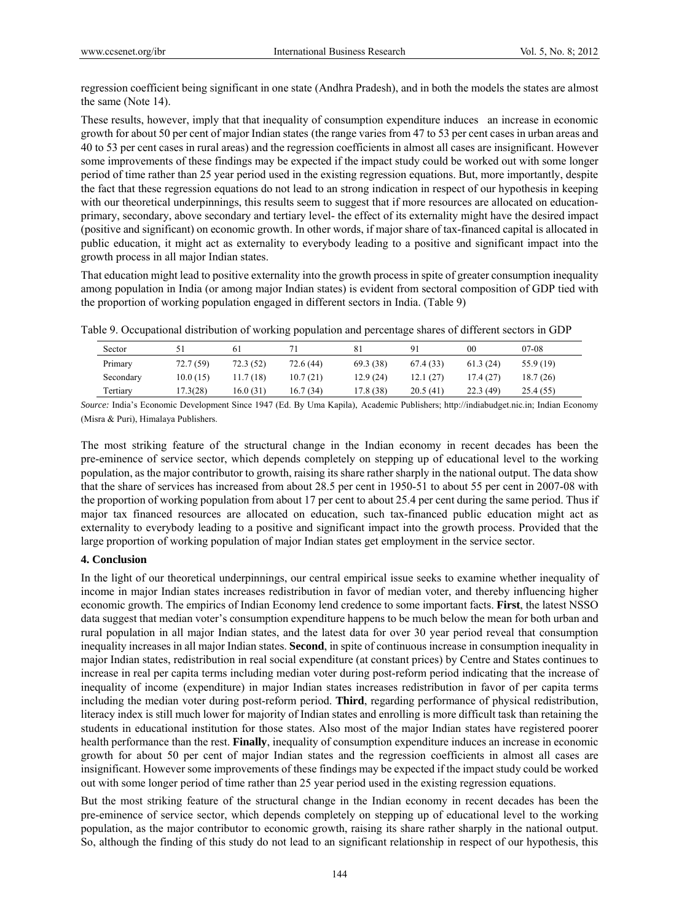regression coefficient being significant in one state (Andhra Pradesh), and in both the models the states are almost the same (Note 14).

These results, however, imply that that inequality of consumption expenditure induces an increase in economic growth for about 50 per cent of major Indian states (the range varies from 47 to 53 per cent cases in urban areas and 40 to 53 per cent cases in rural areas) and the regression coefficients in almost all cases are insignificant. However some improvements of these findings may be expected if the impact study could be worked out with some longer period of time rather than 25 year period used in the existing regression equations. But, more importantly, despite the fact that these regression equations do not lead to an strong indication in respect of our hypothesis in keeping with our theoretical underpinnings, this results seem to suggest that if more resources are allocated on educationprimary, secondary, above secondary and tertiary level- the effect of its externality might have the desired impact (positive and significant) on economic growth. In other words, if major share of tax-financed capital is allocated in public education, it might act as externality to everybody leading to a positive and significant impact into the growth process in all major Indian states.

That education might lead to positive externality into the growth process in spite of greater consumption inequality among population in India (or among major Indian states) is evident from sectoral composition of GDP tied with the proportion of working population engaged in different sectors in India. (Table 9)

| Table 9. Occupational distribution of working population and percentage shares of different sectors in GDP |  |  |  |
|------------------------------------------------------------------------------------------------------------|--|--|--|
|                                                                                                            |  |  |  |

| Sector    |           | 6 I       |           | 81        | Q <sub>1</sub> | 00       | $07-08$   |
|-----------|-----------|-----------|-----------|-----------|----------------|----------|-----------|
| Primary   | 72.7 (59) | 72.3(52)  | 72.6 (44) | 69.3 (38) | 67.4 (33)      | 61.3(24) | 55.9 (19) |
| Secondary | 10.0(15)  | 11.7 (18) | 10.7(21)  | 12.9(24)  | 12.1(27)       | 17.4(27) | 18.7 (26) |
| Tertiary  | 17.3(28)  | 16.0(31)  | 16.7(34)  | 17.8 (38) | 20.5(41)       | 22.3(49) | 25.4 (55) |

*Source:* India's Economic Development Since 1947 (Ed. By Uma Kapila), Academic Publishers; http://indiabudget.nic.in; Indian Economy (Misra & Puri), Himalaya Publishers.

The most striking feature of the structural change in the Indian economy in recent decades has been the pre-eminence of service sector, which depends completely on stepping up of educational level to the working population, as the major contributor to growth, raising its share rather sharply in the national output. The data show that the share of services has increased from about 28.5 per cent in 1950-51 to about 55 per cent in 2007-08 with the proportion of working population from about 17 per cent to about 25.4 per cent during the same period. Thus if major tax financed resources are allocated on education, such tax-financed public education might act as externality to everybody leading to a positive and significant impact into the growth process. Provided that the large proportion of working population of major Indian states get employment in the service sector.

# **4. Conclusion**

In the light of our theoretical underpinnings, our central empirical issue seeks to examine whether inequality of income in major Indian states increases redistribution in favor of median voter, and thereby influencing higher economic growth. The empirics of Indian Economy lend credence to some important facts. **First**, the latest NSSO data suggest that median voter's consumption expenditure happens to be much below the mean for both urban and rural population in all major Indian states, and the latest data for over 30 year period reveal that consumption inequality increases in all major Indian states. **Second**, in spite of continuous increase in consumption inequality in major Indian states, redistribution in real social expenditure (at constant prices) by Centre and States continues to increase in real per capita terms including median voter during post-reform period indicating that the increase of inequality of income (expenditure) in major Indian states increases redistribution in favor of per capita terms including the median voter during post-reform period. **Third**, regarding performance of physical redistribution, literacy index is still much lower for majority of Indian states and enrolling is more difficult task than retaining the students in educational institution for those states. Also most of the major Indian states have registered poorer health performance than the rest. **Finally**, inequality of consumption expenditure induces an increase in economic growth for about 50 per cent of major Indian states and the regression coefficients in almost all cases are insignificant. However some improvements of these findings may be expected if the impact study could be worked out with some longer period of time rather than 25 year period used in the existing regression equations.

But the most striking feature of the structural change in the Indian economy in recent decades has been the pre-eminence of service sector, which depends completely on stepping up of educational level to the working population, as the major contributor to economic growth, raising its share rather sharply in the national output. So, although the finding of this study do not lead to an significant relationship in respect of our hypothesis, this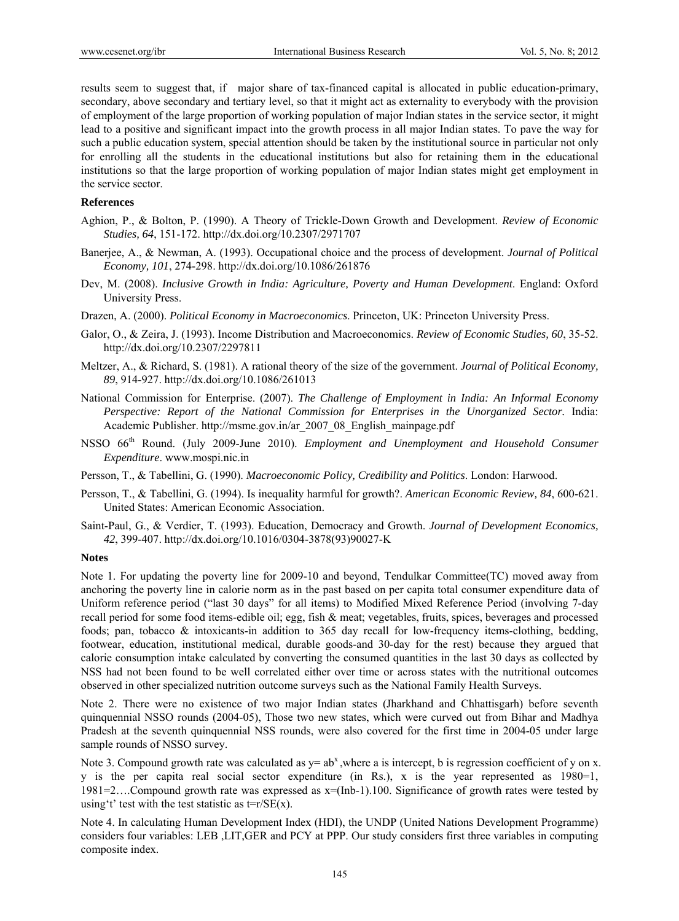results seem to suggest that, if major share of tax-financed capital is allocated in public education-primary, secondary, above secondary and tertiary level, so that it might act as externality to everybody with the provision of employment of the large proportion of working population of major Indian states in the service sector, it might lead to a positive and significant impact into the growth process in all major Indian states. To pave the way for such a public education system, special attention should be taken by the institutional source in particular not only for enrolling all the students in the educational institutions but also for retaining them in the educational institutions so that the large proportion of working population of major Indian states might get employment in the service sector.

## **References**

- Aghion, P., & Bolton, P. (1990). A Theory of Trickle-Down Growth and Development. *Review of Economic Studies, 64*, 151-172. http://dx.doi.org/10.2307/2971707
- Banerjee, A., & Newman, A. (1993). Occupational choice and the process of development. *Journal of Political Economy, 101*, 274-298. http://dx.doi.org/10.1086/261876
- Dev, M. (2008). *Inclusive Growth in India: Agriculture, Poverty and Human Development*. England: Oxford University Press.
- Drazen, A. (2000). *Political Economy in Macroeconomics*. Princeton, UK: Princeton University Press.
- Galor, O., & Zeira, J. (1993). Income Distribution and Macroeconomics. *Review of Economic Studies, 60*, 35-52. http://dx.doi.org/10.2307/2297811
- Meltzer, A., & Richard, S. (1981). A rational theory of the size of the government. *Journal of Political Economy, 89*, 914-927. http://dx.doi.org/10.1086/261013
- National Commission for Enterprise. (2007). *The Challenge of Employment in India: An Informal Economy Perspective: Report of the National Commission for Enterprises in the Unorganized Sector.* India: Academic Publisher. http://msme.gov.in/ar\_2007\_08\_English\_mainpage.pdf
- NSSO 66<sup>th</sup> Round. (July 2009-June 2010). *Employment and Unemployment and Household Consumer Expenditure*. www.mospi.nic.in
- Persson, T., & Tabellini, G. (1990). *Macroeconomic Policy, Credibility and Politics*. London: Harwood.
- Persson, T., & Tabellini, G. (1994). Is inequality harmful for growth?. *American Economic Review, 84*, 600-621. United States: American Economic Association.
- Saint-Paul, G., & Verdier, T. (1993). Education, Democracy and Growth. *Journal of Development Economics, 42*, 399-407. http://dx.doi.org/10.1016/0304-3878(93)90027-K

## **Notes**

Note 1. For updating the poverty line for 2009-10 and beyond, Tendulkar Committee(TC) moved away from anchoring the poverty line in calorie norm as in the past based on per capita total consumer expenditure data of Uniform reference period ("last 30 days" for all items) to Modified Mixed Reference Period (involving 7-day recall period for some food items-edible oil; egg, fish & meat; vegetables, fruits, spices, beverages and processed foods; pan, tobacco & intoxicants-in addition to 365 day recall for low-frequency items-clothing, bedding, footwear, education, institutional medical, durable goods-and 30-day for the rest) because they argued that calorie consumption intake calculated by converting the consumed quantities in the last 30 days as collected by NSS had not been found to be well correlated either over time or across states with the nutritional outcomes observed in other specialized nutrition outcome surveys such as the National Family Health Surveys.

Note 2. There were no existence of two major Indian states (Jharkhand and Chhattisgarh) before seventh quinquennial NSSO rounds (2004-05), Those two new states, which were curved out from Bihar and Madhya Pradesh at the seventh quinquennial NSS rounds, were also covered for the first time in 2004-05 under large sample rounds of NSSO survey.

Note 3. Compound growth rate was calculated as  $y = ab^x$ , where a is intercept, b is regression coefficient of y on x. y is the per capita real social sector expenditure (in Rs.), x is the year represented as 1980=1, 1981=2….Compound growth rate was expressed as x=(Inb-1).100. Significance of growth rates were tested by using't' test with the test statistic as  $t=r/SE(x)$ .

Note 4. In calculating Human Development Index (HDI), the UNDP (United Nations Development Programme) considers four variables: LEB ,LIT,GER and PCY at PPP. Our study considers first three variables in computing composite index.